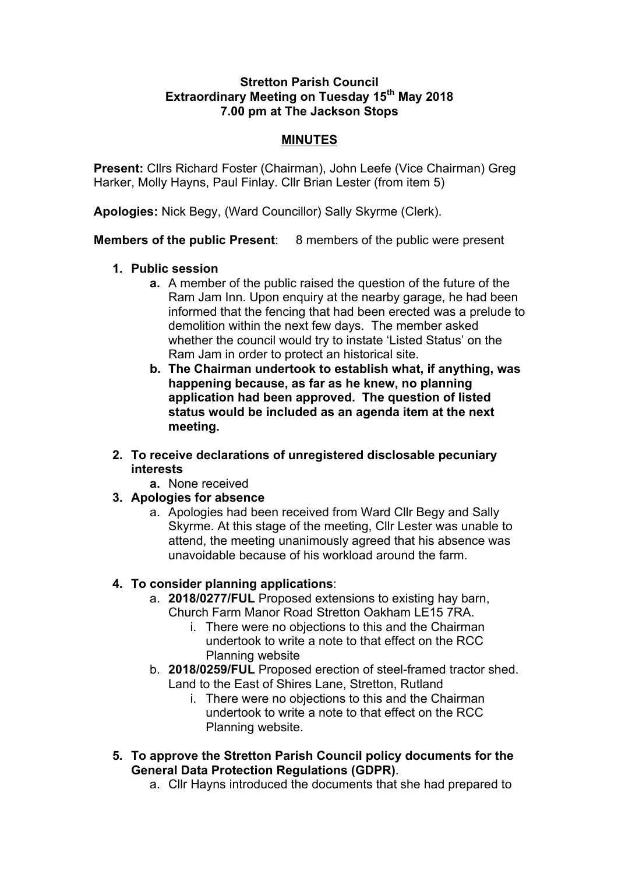#### **Stretton Parish Council Extraordinary Meeting on Tuesday 15th May 2018 7.00 pm at The Jackson Stops**

#### **MINUTES**

**Present:** Cllrs Richard Foster (Chairman), John Leefe (Vice Chairman) Greg Harker, Molly Hayns, Paul Finlay. Cllr Brian Lester (from item 5)

**Apologies:** Nick Begy, (Ward Councillor) Sally Skyrme (Clerk).

**Members of the public Present**: 8 members of the public were present

- **1. Public session**
	- **a.** A member of the public raised the question of the future of the Ram Jam Inn. Upon enquiry at the nearby garage, he had been informed that the fencing that had been erected was a prelude to demolition within the next few days. The member asked whether the council would try to instate 'Listed Status' on the Ram Jam in order to protect an historical site.
	- **b. The Chairman undertook to establish what, if anything, was happening because, as far as he knew, no planning application had been approved. The question of listed status would be included as an agenda item at the next meeting.**
- **2. To receive declarations of unregistered disclosable pecuniary interests**
	- **a.** None received
- **3. Apologies for absence**
	- a. Apologies had been received from Ward Cllr Begy and Sally Skyrme. At this stage of the meeting, Cllr Lester was unable to attend, the meeting unanimously agreed that his absence was unavoidable because of his workload around the farm.

# **4. To consider planning applications**:

- a. **2018/0277/FUL** Proposed extensions to existing hay barn, Church Farm Manor Road Stretton Oakham LE15 7RA.
	- i. There were no objections to this and the Chairman undertook to write a note to that effect on the RCC Planning website
- b. **2018/0259/FUL** Proposed erection of steel-framed tractor shed. Land to the East of Shires Lane, Stretton, Rutland
	- i. There were no objections to this and the Chairman undertook to write a note to that effect on the RCC Planning website.
- **5. To approve the Stretton Parish Council policy documents for the General Data Protection Regulations (GDPR)**.
	- a. Cllr Hayns introduced the documents that she had prepared to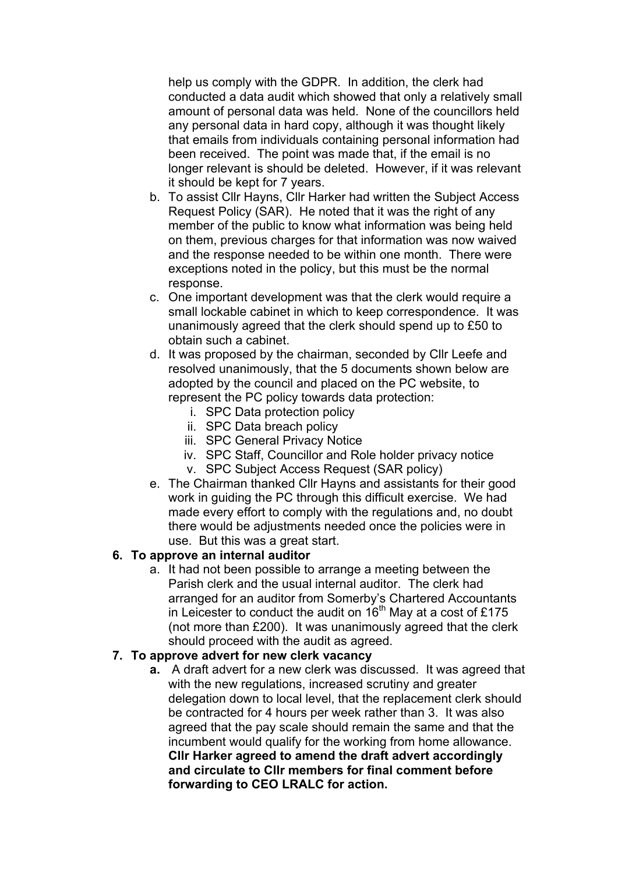help us comply with the GDPR. In addition, the clerk had conducted a data audit which showed that only a relatively small amount of personal data was held. None of the councillors held any personal data in hard copy, although it was thought likely that emails from individuals containing personal information had been received. The point was made that, if the email is no longer relevant is should be deleted. However, if it was relevant it should be kept for 7 years.

- b. To assist Cllr Hayns, Cllr Harker had written the Subject Access Request Policy (SAR). He noted that it was the right of any member of the public to know what information was being held on them, previous charges for that information was now waived and the response needed to be within one month. There were exceptions noted in the policy, but this must be the normal response.
- c. One important development was that the clerk would require a small lockable cabinet in which to keep correspondence. It was unanimously agreed that the clerk should spend up to £50 to obtain such a cabinet.
- d. It was proposed by the chairman, seconded by Cllr Leefe and resolved unanimously, that the 5 documents shown below are adopted by the council and placed on the PC website, to represent the PC policy towards data protection:
	- i. SPC Data protection policy
	- ii. SPC Data breach policy
	- iii. SPC General Privacy Notice
	- iv. SPC Staff, Councillor and Role holder privacy notice
	- v. SPC Subject Access Request (SAR policy)
- e. The Chairman thanked Cllr Hayns and assistants for their good work in guiding the PC through this difficult exercise. We had made every effort to comply with the regulations and, no doubt there would be adjustments needed once the policies were in use. But this was a great start.

# **6. To approve an internal auditor**

a. It had not been possible to arrange a meeting between the Parish clerk and the usual internal auditor. The clerk had arranged for an auditor from Somerby's Chartered Accountants in Leicester to conduct the audit on  $16<sup>th</sup>$  May at a cost of £175 (not more than £200). It was unanimously agreed that the clerk should proceed with the audit as agreed.

#### **7. To approve advert for new clerk vacancy**

**a.** A draft advert for a new clerk was discussed. It was agreed that with the new regulations, increased scrutiny and greater delegation down to local level, that the replacement clerk should be contracted for 4 hours per week rather than 3. It was also agreed that the pay scale should remain the same and that the incumbent would qualify for the working from home allowance. **Cllr Harker agreed to amend the draft advert accordingly and circulate to Cllr members for final comment before forwarding to CEO LRALC for action.**